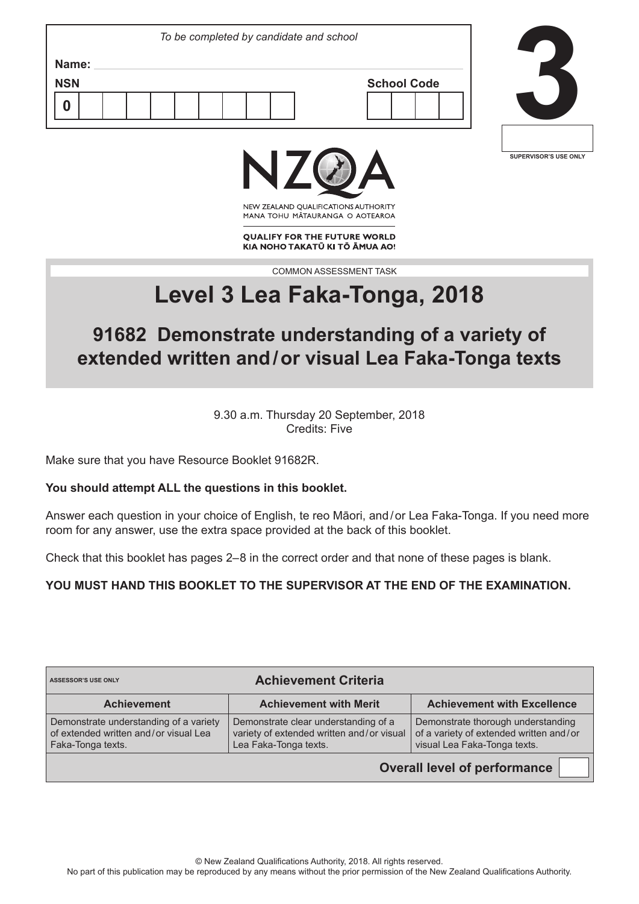| Name:<br><b>NSN</b><br><b>School Code</b> | To be completed by candidate and school |  |
|-------------------------------------------|-----------------------------------------|--|
|                                           |                                         |  |
|                                           |                                         |  |
|                                           |                                         |  |





NEW ZEALAND OUALIFICATIONS AUTHORITY MANA TOHU MATAURANGA O AOTEAROA

**QUALIFY FOR THE FUTURE WORLD** KIA NOHO TAKATŪ KI TŌ ĀMUA AO!

COMMON ASSESSMENT TASK

# **Level 3 Lea Faka-Tonga, 2018**

# **91682 Demonstrate understanding of a variety of extended written and/or visual Lea Faka-Tonga texts**

9.30 a.m. Thursday 20 September, 2018 Credits: Five

Make sure that you have Resource Booklet 91682R.

#### **You should attempt ALL the questions in this booklet.**

Answer each question in your choice of English, te reo Māori, and / or Lea Faka-Tonga. If you need more room for any answer, use the extra space provided at the back of this booklet.

Check that this booklet has pages 2–8 in the correct order and that none of these pages is blank.

**YOU MUST HAND THIS BOOKLET TO THE SUPERVISOR AT THE END OF THE EXAMINATION.**

| <b>Achievement Criteria</b><br><b>ASSESSOR'S USE ONLY</b>                                            |                                                                                                            |                                                                                                               |  |
|------------------------------------------------------------------------------------------------------|------------------------------------------------------------------------------------------------------------|---------------------------------------------------------------------------------------------------------------|--|
| <b>Achievement</b>                                                                                   | <b>Achievement with Merit</b>                                                                              | <b>Achievement with Excellence</b>                                                                            |  |
| Demonstrate understanding of a variety<br>of extended written and/or visual Lea<br>Faka-Tonga texts. | Demonstrate clear understanding of a<br>variety of extended written and/or visual<br>Lea Faka-Tonga texts. | Demonstrate thorough understanding<br>of a variety of extended written and/or<br>visual Lea Faka-Tonga texts. |  |
| <b>Overall level of performance</b>                                                                  |                                                                                                            |                                                                                                               |  |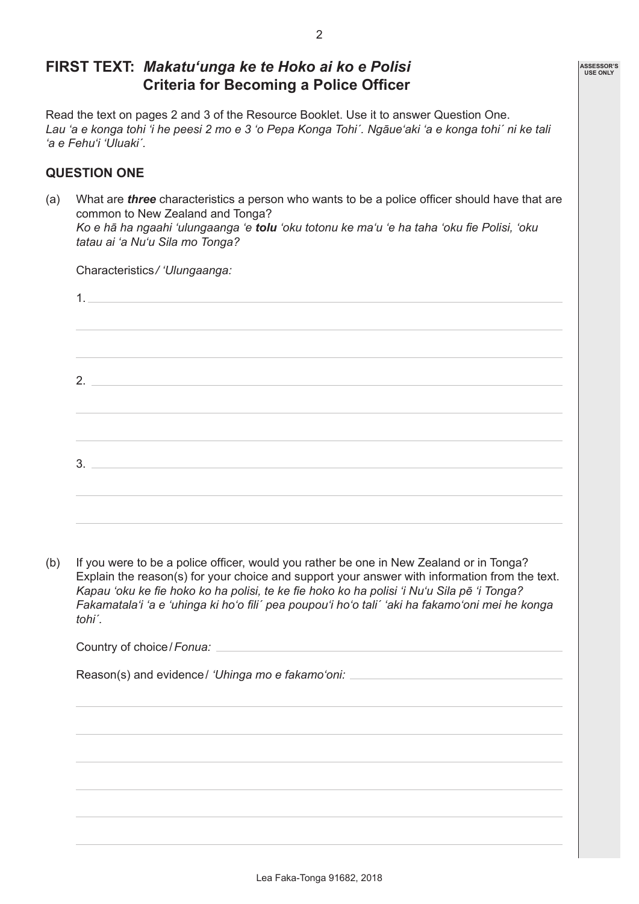## **FIRST TEXT:** *Makatu'unga ke te Hoko ai ko e Polisi* **Criteria for Becoming a Police Officer**

Read the text on pages 2 and 3 of the Resource Booklet. Use it to answer Question One. *Lau 'a e konga tohi 'i he peesi 2 mo e 3 'o Pepa Konga Tohiˊ. Ngāue'aki 'a e konga tohiˊ ni ke tali 'a e Fehu'i 'Uluakiˊ.*

#### **QUESTION ONE**

(a) What are *three* characteristics a person who wants to be a police officer should have that are common to New Zealand and Tonga? *Ko e hā ha ngaahi 'ulungaanga 'e tolu 'oku totonu ke ma'u 'e ha taha 'oku fie Polisi, 'oku tatau ai 'a Nu'u Sila mo Tonga?*

Characteristics */ 'Ulungaanga:*

| $2.$ $\overline{\phantom{a}}$ |                                                                                                                        |  |  |
|-------------------------------|------------------------------------------------------------------------------------------------------------------------|--|--|
|                               |                                                                                                                        |  |  |
|                               |                                                                                                                        |  |  |
|                               |                                                                                                                        |  |  |
| $3.$ $\overline{\phantom{a}}$ |                                                                                                                        |  |  |
|                               |                                                                                                                        |  |  |
|                               |                                                                                                                        |  |  |
|                               | <u> 1989 - Andrea Santana, amerikana amerikana amerikana amerikana amerikana amerikana amerikana amerikana amerika</u> |  |  |

(b) If you were to be a police officer, would you rather be one in New Zealand or in Tonga? Explain the reason(s) for your choice and support your answer with information from the text. *Kapau 'oku ke fie hoko ko ha polisi, te ke fie hoko ko ha polisi 'i Nu'u Sila pē 'i Tonga? Fakamatala'i 'a e 'uhinga ki ho'o fili´ pea poupou'i ho'o tali´ 'aki ha fakamo'oni mei he konga tohi´.*

| Country of choice / Fonua:                       |  |
|--------------------------------------------------|--|
| Reason(s) and evidence/ 'Uhinga mo e fakamo'oni: |  |

**ASSESSOR'S USE ONLY**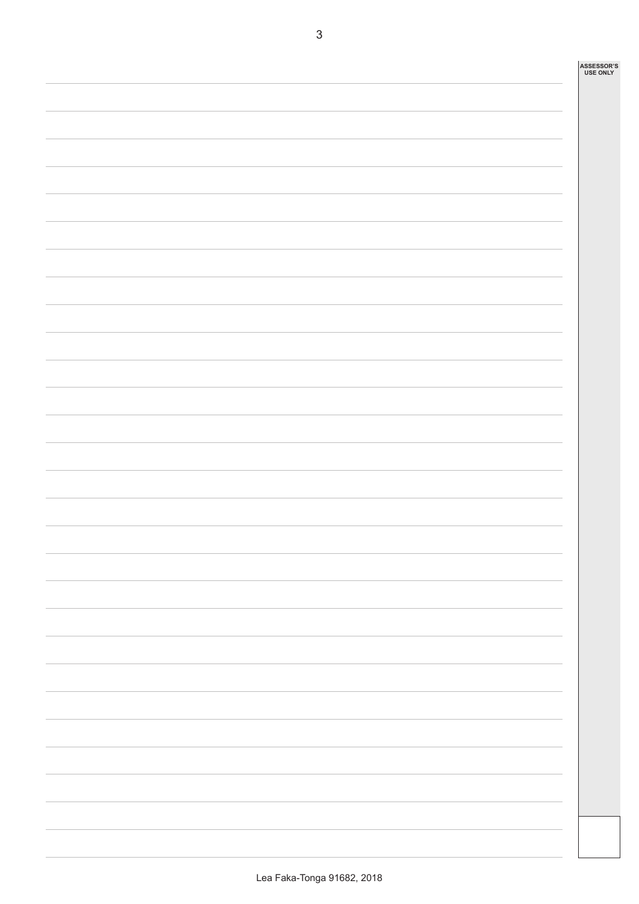| ASSESSOR'S<br>USE ONLY |
|------------------------|
|                        |
|                        |
|                        |
|                        |
|                        |
|                        |
|                        |
|                        |
|                        |
|                        |
|                        |
|                        |
|                        |
|                        |
|                        |
|                        |
|                        |
|                        |
|                        |
|                        |
|                        |
|                        |
|                        |
|                        |
|                        |
|                        |
|                        |
|                        |
|                        |
|                        |
|                        |
|                        |
|                        |
|                        |
|                        |
|                        |
|                        |
|                        |
|                        |
|                        |
|                        |
|                        |
|                        |
|                        |
|                        |
|                        |
|                        |
|                        |
|                        |
|                        |

i,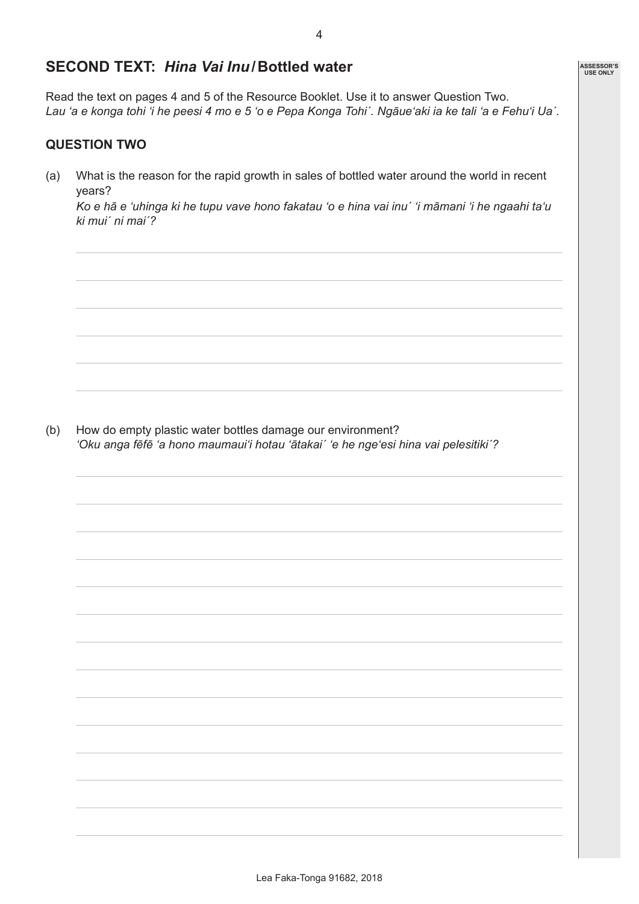## **SECOND TEXT:** *Hina Vai Inu***/Bottled water**

Read the text on pages 4 and 5 of the Resource Booklet. Use it to answer Question Two. *Lau 'a e konga tohi 'i he peesi 4 mo e 5 'o e Pepa Konga Tohiˊ. Ngāue'aki ia ke tali 'a e Fehu'i Uaˊ.* 

#### **QUESTION TWO**

(a) What is the reason for the rapid growth in sales of bottled water around the world in recent years?

*Ko e hā e 'uhinga ki he tupu vave hono fakatau 'o e hina vai inuˊ 'i māmani 'i he ngaahi ta'u ki mui´ ni mai´?*

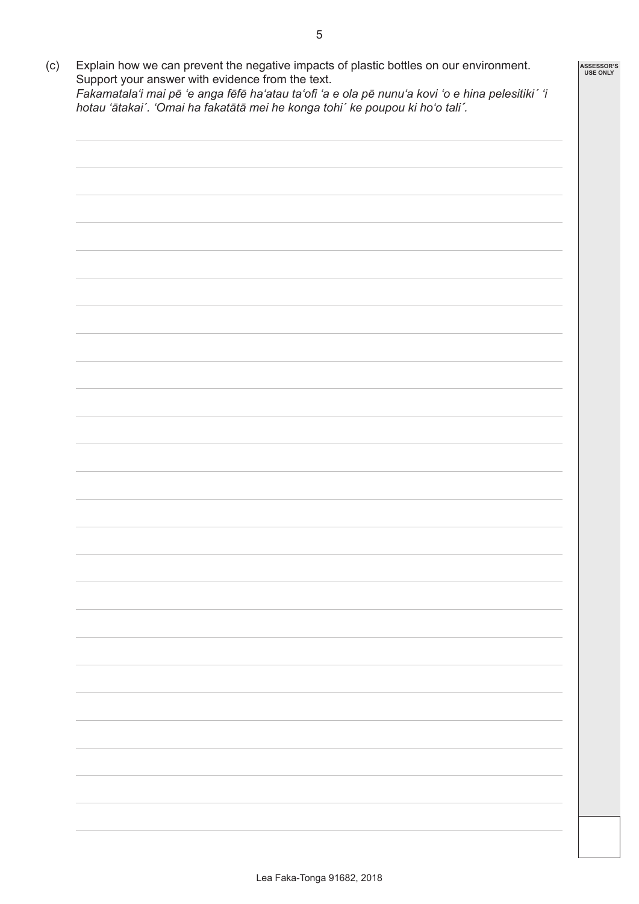| Explain how we can prevent the negative impacts of plastic bottles on our environment.<br>Support your answer with evidence from the text.<br>Fakamatala'i mai pē 'e anga fēfē ha'atau ta'ofi 'a e ola pē nunu'a kovi 'o e hina pelesitiki' 'i<br>hotau 'ātakai'. 'Omai ha fakatātā mei he konga tohi' ke poupou ki ho'o tali'. | <b>ASSESSOR'S</b><br><b>USE ONLY</b> |
|---------------------------------------------------------------------------------------------------------------------------------------------------------------------------------------------------------------------------------------------------------------------------------------------------------------------------------|--------------------------------------|
|                                                                                                                                                                                                                                                                                                                                 |                                      |
|                                                                                                                                                                                                                                                                                                                                 |                                      |
|                                                                                                                                                                                                                                                                                                                                 |                                      |
|                                                                                                                                                                                                                                                                                                                                 |                                      |
|                                                                                                                                                                                                                                                                                                                                 |                                      |
|                                                                                                                                                                                                                                                                                                                                 |                                      |
|                                                                                                                                                                                                                                                                                                                                 |                                      |
|                                                                                                                                                                                                                                                                                                                                 |                                      |
|                                                                                                                                                                                                                                                                                                                                 |                                      |
|                                                                                                                                                                                                                                                                                                                                 |                                      |
|                                                                                                                                                                                                                                                                                                                                 |                                      |
|                                                                                                                                                                                                                                                                                                                                 |                                      |
|                                                                                                                                                                                                                                                                                                                                 |                                      |
|                                                                                                                                                                                                                                                                                                                                 |                                      |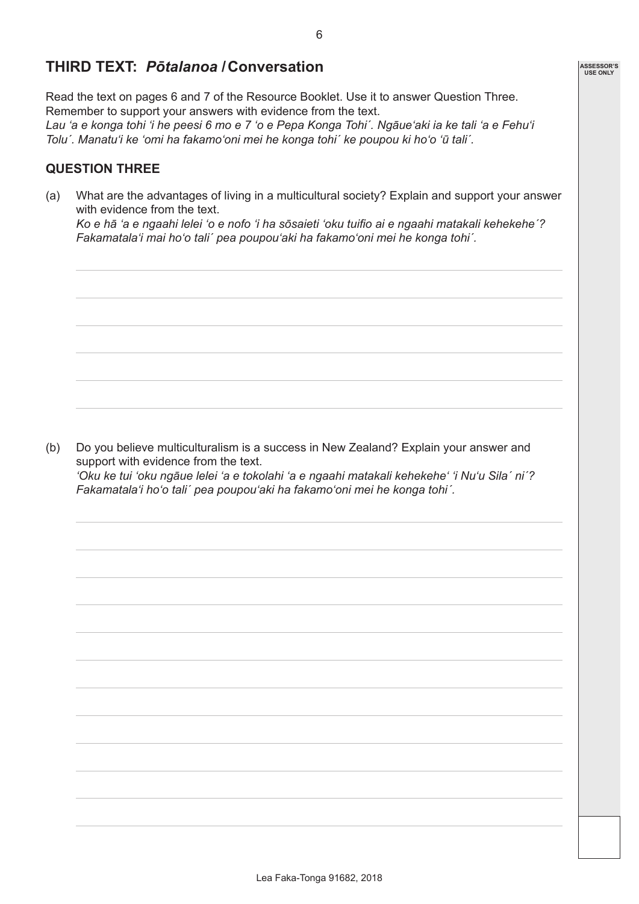# **THIRD TEXT:** *Pōtalanoa* **/Conversation**

Read the text on pages 6 and 7 of the Resource Booklet. Use it to answer Question Three. Remember to support your answers with evidence from the text. *Lau 'a e konga tohi 'i he peesi 6 mo e 7 'o e Pepa Konga Tohiˊ. Ngāue'aki ia ke tali 'a e Fehu'i Toluˊ. Manatu'i ke 'omi ha fakamo'oni mei he konga tohiˊ ke poupou ki ho'o 'ū taliˊ.*

#### **QUESTION THREE**

(a) What are the advantages of living in a multicultural society? Explain and support your answer with evidence from the text.

*Ko e hā 'a e ngaahi lelei 'o e nofo 'i ha sōsaieti 'oku tuifio ai e ngaahi matakali kehekeheˊ? Fakamatala'i mai ho'o taliˊ pea poupou'aki ha fakamo'oni mei he konga tohiˊ.*

(b) Do you believe multiculturalism is a success in New Zealand? Explain your answer and support with evidence from the text. *'Oku ke tui 'oku ngāue lelei 'a e tokolahi 'a e ngaahi matakali kehekehe' 'i Nu'u Silaˊ niˊ? Fakamatala'i ho'o taliˊ pea poupou'aki ha fakamo'oni mei he konga tohiˊ.*

**ASSESSOR'S USE ONLY**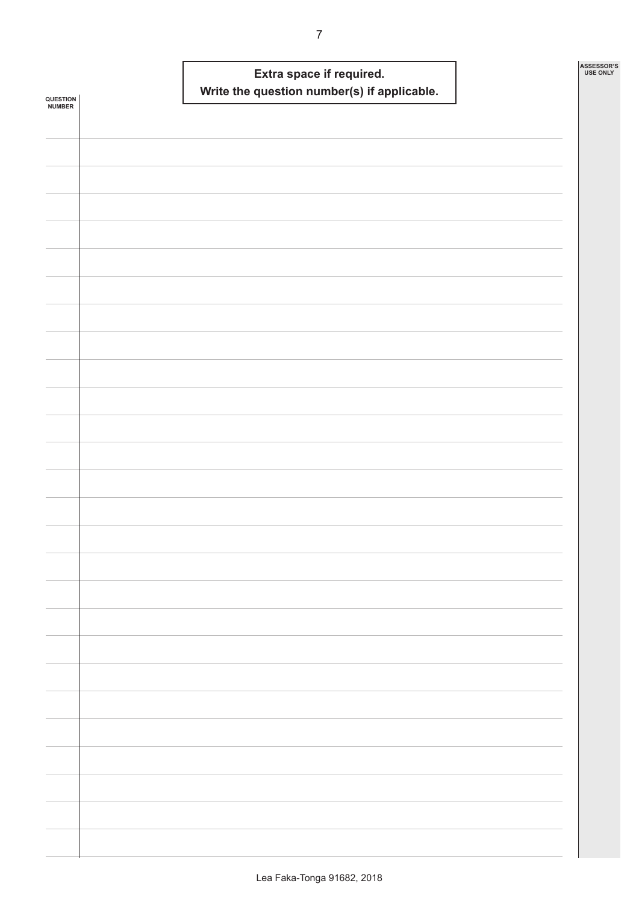| QUESTION<br>NUMBER | Extra space if required.<br>Write the question number(s) if applicable. | ASSESSOR'S<br>USE ONLY |
|--------------------|-------------------------------------------------------------------------|------------------------|
|                    |                                                                         |                        |
|                    |                                                                         |                        |
|                    |                                                                         |                        |
|                    |                                                                         |                        |
|                    |                                                                         |                        |
|                    |                                                                         |                        |
|                    |                                                                         |                        |
|                    |                                                                         |                        |
|                    |                                                                         |                        |
|                    |                                                                         |                        |
|                    |                                                                         |                        |
|                    |                                                                         |                        |
|                    |                                                                         |                        |
|                    |                                                                         |                        |
|                    |                                                                         |                        |
|                    |                                                                         |                        |
|                    |                                                                         |                        |
|                    |                                                                         |                        |
|                    |                                                                         |                        |
|                    |                                                                         |                        |
|                    |                                                                         |                        |
|                    |                                                                         |                        |
|                    |                                                                         |                        |
|                    |                                                                         |                        |
|                    |                                                                         |                        |
|                    |                                                                         |                        |